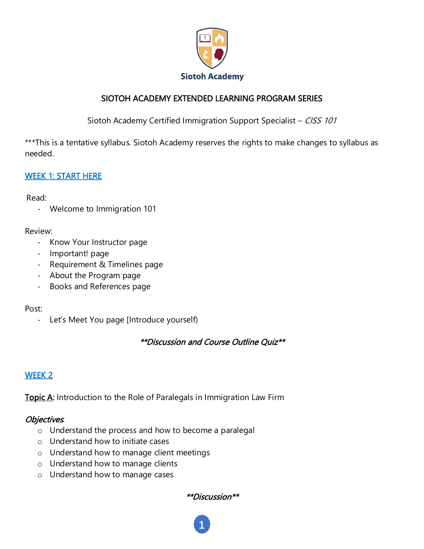

### SIOTOH ACADEMY EXTENDED LEARNING PROGRAM SERIES

Siotoh Academy Certified Immigration Support Specialist - CISS 101

\*\*\*This is a tentative syllabus. Siotoh Academy reserves the rights to make changes to syllabus as needed.

# WEEK 1: START HERE

Read:

- Welcome to Immigration 101

Review:

- Know Your Instructor page
- Important! page
- Requirement & Timelines page
- About the Program page
- Books and References page

#### Post:

- Let's Meet You page [Introduce yourself)

# \*\*Discussion and Course Outline Quiz\*\*

#### WEEK 2

Topic A: Introduction to the Role of Paralegals in Immigration Law Firm

#### Objectives:

- o Understand the process and how to become a paralegal
- o Understand how to initiate cases
- o Understand how to manage client meetings
- o Understand how to manage clients
- o Understand how to manage cases

\*\*Discussion\*\*

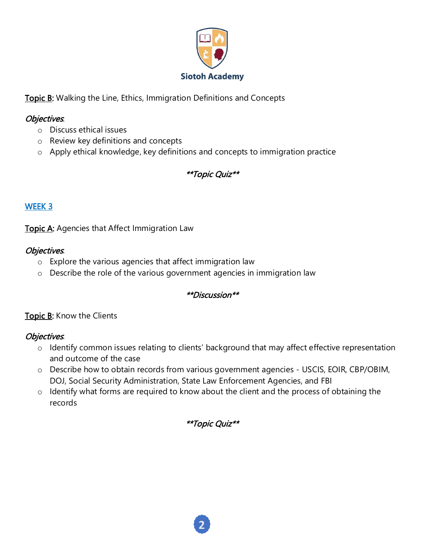

### **Topic B:** Walking the Line, Ethics, Immigration Definitions and Concepts

#### Objectives:

- o Discuss ethical issues
- o Review key definitions and concepts
- o Apply ethical knowledge, key definitions and concepts to immigration practice

# \*\*Topic Quiz\*\*

# WEEK 3

Topic A: Agencies that Affect Immigration Law

### Objectives:

- o Explore the various agencies that affect immigration law
- o Describe the role of the various government agencies in immigration law

#### \*\*Discussion\*\*

# Topic B: Know the Clients

# Objectives:

- o Identify common issues relating to clients' background that may affect effective representation and outcome of the case
- o Describe how to obtain records from various government agencies USCIS, EOIR, CBP/OBIM, DOJ, Social Security Administration, State Law Enforcement Agencies, and FBI
- o Identify what forms are required to know about the client and the process of obtaining the records

#### \*\*Topic Quiz\*\*

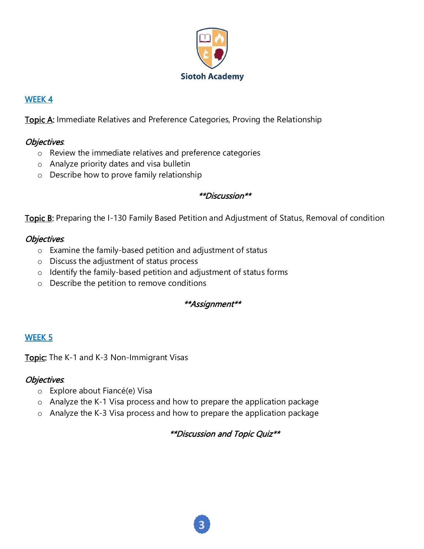

#### WEEK 4

Topic A: Immediate Relatives and Preference Categories, Proving the Relationship

### Objectives:

- o Review the immediate relatives and preference categories
- o Analyze priority dates and visa bulletin
- o Describe how to prove family relationship

### \*\*Discussion\*\*

Topic B: Preparing the I-130 Family Based Petition and Adjustment of Status, Removal of condition

#### Objectives:

- o Examine the family-based petition and adjustment of status
- o Discuss the adjustment of status process
- o Identify the family-based petition and adjustment of status forms
- o Describe the petition to remove conditions

#### \*\*Assignment\*\*

#### WEEK 5

Topic: The K-1 and K-3 Non-Immigrant Visas

#### Objectives:

- o Explore about Fiancé(e) Visa
- o Analyze the K-1 Visa process and how to prepare the application package
- o Analyze the K-3 Visa process and how to prepare the application package

#### \*\*Discussion and Topic Quiz\*\*

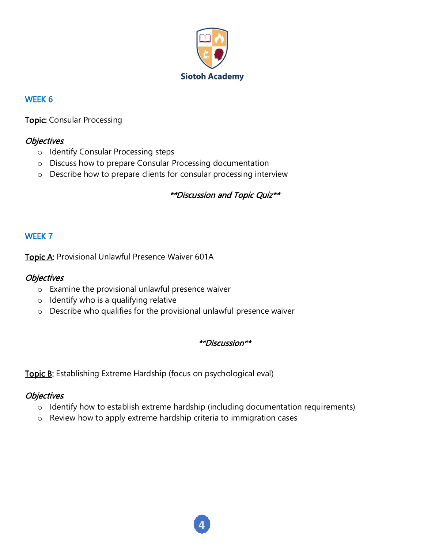

#### WEEK 6

**Topic: Consular Processing** 

### Objectives:

- o Identify Consular Processing steps
- o Discuss how to prepare Consular Processing documentation
- o Describe how to prepare clients for consular processing interview

#### \*\*Discussion and Topic Quiz\*\*

#### WEEK 7

Topic A: Provisional Unlawful Presence Waiver 601A

#### Objectives:

- o Examine the provisional unlawful presence waiver
- o Identify who is a qualifying relative
- o Describe who qualifies for the provisional unlawful presence waiver

#### \*\*Discussion\*\*

Topic B: Establishing Extreme Hardship (focus on psychological eval)

#### Objectives:

- o Identify how to establish extreme hardship (including documentation requirements)
- o Review how to apply extreme hardship criteria to immigration cases